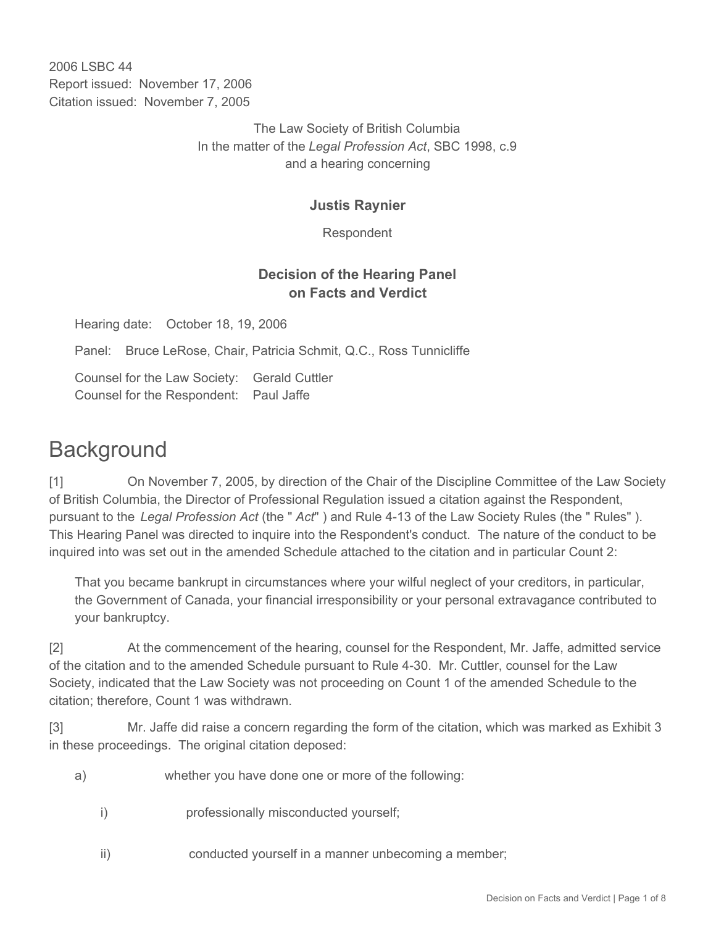2006 LSBC 44 Report issued: November 17, 2006 Citation issued: November 7, 2005

> The Law Society of British Columbia In the matter of the *Legal Profession Act*, SBC 1998, c.9 and a hearing concerning

### **Justis Raynier**

Respondent

## **Decision of the Hearing Panel on Facts and Verdict**

Hearing date: October 18, 19, 2006

Panel: Bruce LeRose, Chair, Patricia Schmit, Q.C., Ross Tunnicliffe

Counsel for the Law Society: Gerald Cuttler Counsel for the Respondent: Paul Jaffe

# **Background**

[1] On November 7, 2005, by direction of the Chair of the Discipline Committee of the Law Society of British Columbia, the Director of Professional Regulation issued a citation against the Respondent, pursuant to the *Legal Profession Act* (the " *Act*" ) and Rule 4-13 of the Law Society Rules (the " Rules" ). This Hearing Panel was directed to inquire into the Respondent's conduct. The nature of the conduct to be inquired into was set out in the amended Schedule attached to the citation and in particular Count 2:

That you became bankrupt in circumstances where your wilful neglect of your creditors, in particular, the Government of Canada, your financial irresponsibility or your personal extravagance contributed to your bankruptcy.

[2] At the commencement of the hearing, counsel for the Respondent, Mr. Jaffe, admitted service of the citation and to the amended Schedule pursuant to Rule 4-30. Mr. Cuttler, counsel for the Law Society, indicated that the Law Society was not proceeding on Count 1 of the amended Schedule to the citation; therefore, Count 1 was withdrawn.

[3] Mr. Jaffe did raise a concern regarding the form of the citation, which was marked as Exhibit 3 in these proceedings. The original citation deposed:

- a) whether you have done one or more of the following:
	- i) professionally misconducted yourself;
	- ii) conducted yourself in a manner unbecoming a member;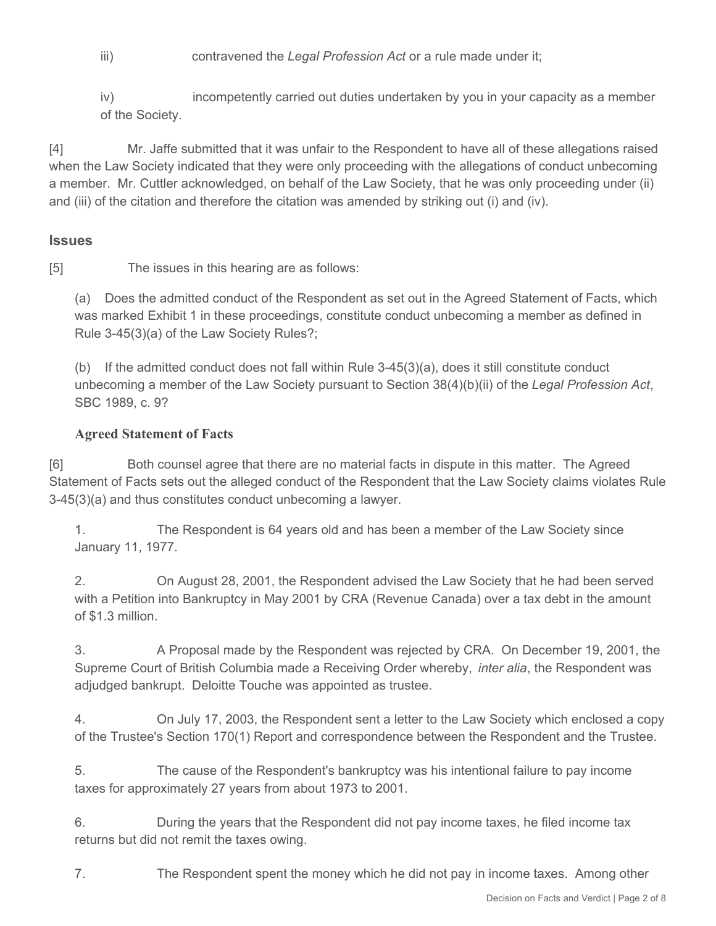iii) contravened the *Legal Profession Act* or a rule made under it;

iv) incompetently carried out duties undertaken by you in your capacity as a member of the Society.

[4] Mr. Jaffe submitted that it was unfair to the Respondent to have all of these allegations raised when the Law Society indicated that they were only proceeding with the allegations of conduct unbecoming a member. Mr. Cuttler acknowledged, on behalf of the Law Society, that he was only proceeding under (ii) and (iii) of the citation and therefore the citation was amended by striking out (i) and (iv).

#### **Issues**

[5] The issues in this hearing are as follows:

(a) Does the admitted conduct of the Respondent as set out in the Agreed Statement of Facts, which was marked Exhibit 1 in these proceedings, constitute conduct unbecoming a member as defined in Rule 3-45(3)(a) of the Law Society Rules?;

(b) If the admitted conduct does not fall within Rule  $3-45(3)(a)$ , does it still constitute conduct unbecoming a member of the Law Society pursuant to Section 38(4)(b)(ii) of the *Legal Profession Act*, SBC 1989, c. 9?

#### **Agreed Statement of Facts**

[6] Both counsel agree that there are no material facts in dispute in this matter. The Agreed Statement of Facts sets out the alleged conduct of the Respondent that the Law Society claims violates Rule 3-45(3)(a) and thus constitutes conduct unbecoming a lawyer.

1. The Respondent is 64 years old and has been a member of the Law Society since January 11, 1977.

2. On August 28, 2001, the Respondent advised the Law Society that he had been served with a Petition into Bankruptcy in May 2001 by CRA (Revenue Canada) over a tax debt in the amount of \$1.3 million.

3. A Proposal made by the Respondent was rejected by CRA. On December 19, 2001, the Supreme Court of British Columbia made a Receiving Order whereby, *inter alia*, the Respondent was adjudged bankrupt. Deloitte Touche was appointed as trustee.

4. On July 17, 2003, the Respondent sent a letter to the Law Society which enclosed a copy of the Trustee's Section 170(1) Report and correspondence between the Respondent and the Trustee.

5. The cause of the Respondent's bankruptcy was his intentional failure to pay income taxes for approximately 27 years from about 1973 to 2001.

6. During the years that the Respondent did not pay income taxes, he filed income tax returns but did not remit the taxes owing.

7. The Respondent spent the money which he did not pay in income taxes. Among other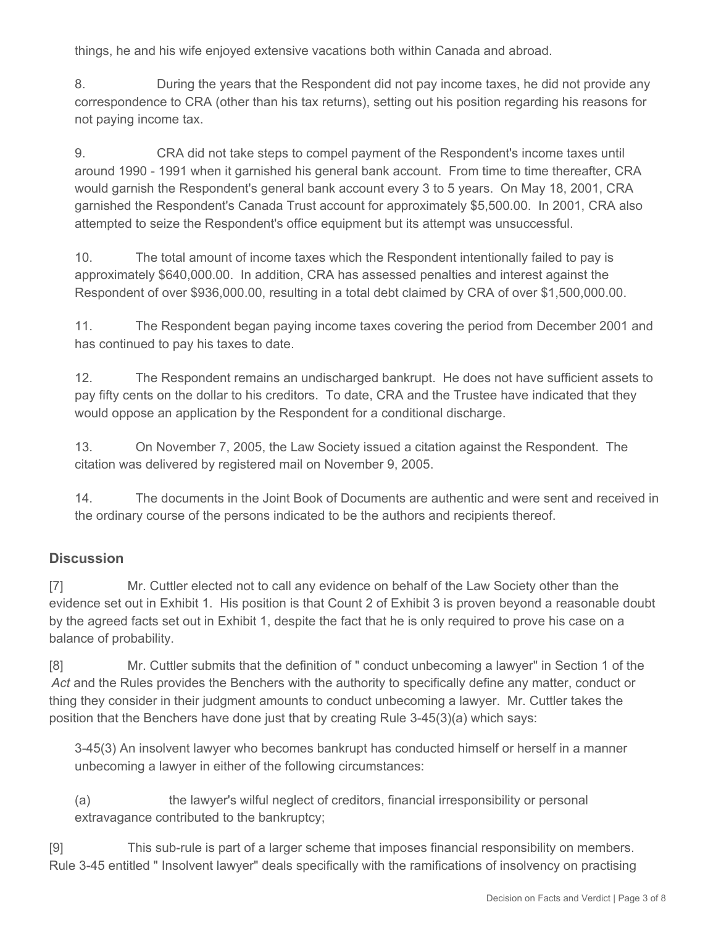things, he and his wife enjoyed extensive vacations both within Canada and abroad.

8. During the years that the Respondent did not pay income taxes, he did not provide any correspondence to CRA (other than his tax returns), setting out his position regarding his reasons for not paying income tax.

9. CRA did not take steps to compel payment of the Respondent's income taxes until around 1990 - 1991 when it garnished his general bank account. From time to time thereafter, CRA would garnish the Respondent's general bank account every 3 to 5 years. On May 18, 2001, CRA garnished the Respondent's Canada Trust account for approximately \$5,500.00. In 2001, CRA also attempted to seize the Respondent's office equipment but its attempt was unsuccessful.

10. The total amount of income taxes which the Respondent intentionally failed to pay is approximately \$640,000.00. In addition, CRA has assessed penalties and interest against the Respondent of over \$936,000.00, resulting in a total debt claimed by CRA of over \$1,500,000.00.

11. The Respondent began paying income taxes covering the period from December 2001 and has continued to pay his taxes to date.

12. The Respondent remains an undischarged bankrupt. He does not have sufficient assets to pay fifty cents on the dollar to his creditors. To date, CRA and the Trustee have indicated that they would oppose an application by the Respondent for a conditional discharge.

13. On November 7, 2005, the Law Society issued a citation against the Respondent. The citation was delivered by registered mail on November 9, 2005.

14. The documents in the Joint Book of Documents are authentic and were sent and received in the ordinary course of the persons indicated to be the authors and recipients thereof.

### **Discussion**

[7] Mr. Cuttler elected not to call any evidence on behalf of the Law Society other than the evidence set out in Exhibit 1. His position is that Count 2 of Exhibit 3 is proven beyond a reasonable doubt by the agreed facts set out in Exhibit 1, despite the fact that he is only required to prove his case on a balance of probability.

[8] Mr. Cuttler submits that the definition of " conduct unbecoming a lawyer" in Section 1 of the *Act* and the Rules provides the Benchers with the authority to specifically define any matter, conduct or thing they consider in their judgment amounts to conduct unbecoming a lawyer. Mr. Cuttler takes the position that the Benchers have done just that by creating Rule 3-45(3)(a) which says:

3-45(3) An insolvent lawyer who becomes bankrupt has conducted himself or herself in a manner unbecoming a lawyer in either of the following circumstances:

(a) the lawyer's wilful neglect of creditors, financial irresponsibility or personal extravagance contributed to the bankruptcy;

[9] This sub-rule is part of a larger scheme that imposes financial responsibility on members. Rule 3-45 entitled " Insolvent lawyer" deals specifically with the ramifications of insolvency on practising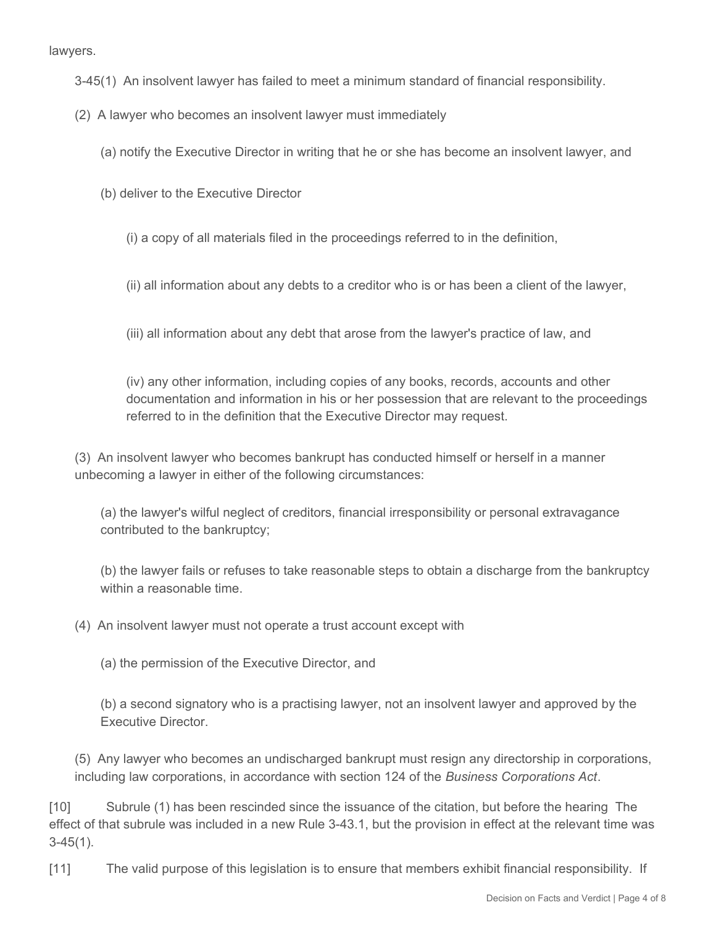lawyers.

- 3-45(1) An insolvent lawyer has failed to meet a minimum standard of financial responsibility.
- (2) A lawyer who becomes an insolvent lawyer must immediately
	- (a) notify the Executive Director in writing that he or she has become an insolvent lawyer, and
	- (b) deliver to the Executive Director
		- (i) a copy of all materials filed in the proceedings referred to in the definition,
		- (ii) all information about any debts to a creditor who is or has been a client of the lawyer,
		- (iii) all information about any debt that arose from the lawyer's practice of law, and

(iv) any other information, including copies of any books, records, accounts and other documentation and information in his or her possession that are relevant to the proceedings referred to in the definition that the Executive Director may request.

(3) An insolvent lawyer who becomes bankrupt has conducted himself or herself in a manner unbecoming a lawyer in either of the following circumstances:

(a) the lawyer's wilful neglect of creditors, financial irresponsibility or personal extravagance contributed to the bankruptcy;

(b) the lawyer fails or refuses to take reasonable steps to obtain a discharge from the bankruptcy within a reasonable time.

(4) An insolvent lawyer must not operate a trust account except with

(a) the permission of the Executive Director, and

(b) a second signatory who is a practising lawyer, not an insolvent lawyer and approved by the Executive Director.

(5) Any lawyer who becomes an undischarged bankrupt must resign any directorship in corporations, including law corporations, in accordance with section 124 of the *Business Corporations Act*.

[10] Subrule (1) has been rescinded since the issuance of the citation, but before the hearing The effect of that subrule was included in a new Rule 3-43.1, but the provision in effect at the relevant time was 3-45(1).

[11] The valid purpose of this legislation is to ensure that members exhibit financial responsibility. If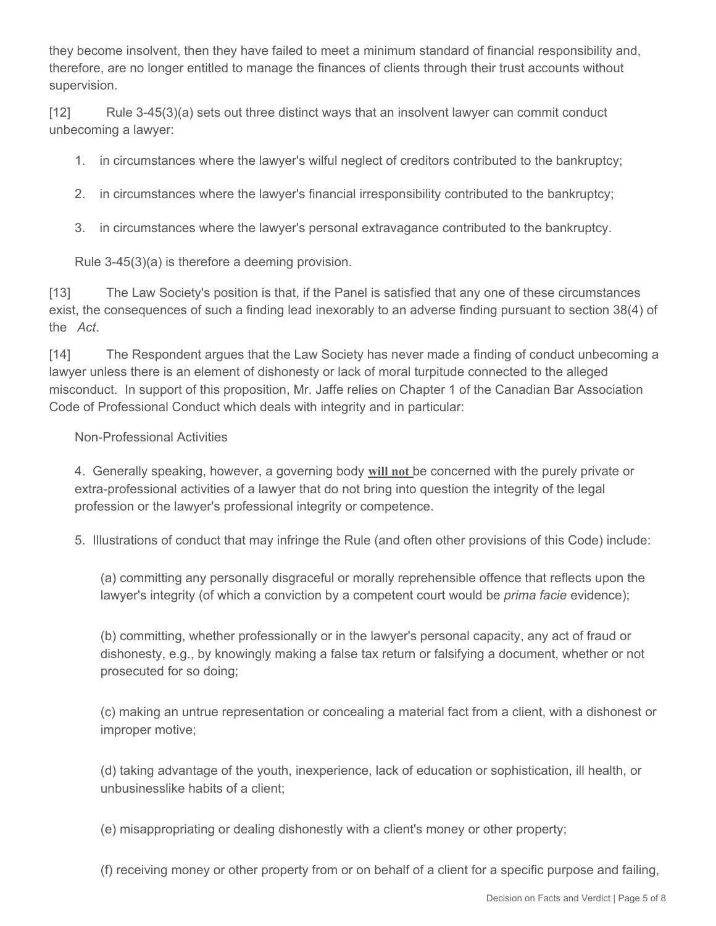they become insolvent, then they have failed to meet a minimum standard of financial responsibility and, therefore, are no longer entitled to manage the finances of clients through their trust accounts without supervision.

[12] Rule 3-45(3)(a) sets out three distinct ways that an insolvent lawyer can commit conduct unbecoming a lawyer:

- 1. in circumstances where the lawyer's wilful neglect of creditors contributed to the bankruptcy;
- 2. in circumstances where the lawyer's financial irresponsibility contributed to the bankruptcy;
- 3. in circumstances where the lawyer's personal extravagance contributed to the bankruptcy.

Rule 3-45(3)(a) is therefore a deeming provision.

[13] The Law Society's position is that, if the Panel is satisfied that any one of these circumstances exist, the consequences of such a finding lead inexorably to an adverse finding pursuant to section 38(4) of the *Act*.

[14] The Respondent argues that the Law Society has never made a finding of conduct unbecoming a lawyer unless there is an element of dishonesty or lack of moral turpitude connected to the alleged misconduct. In support of this proposition, Mr. Jaffe relies on Chapter 1 of the Canadian Bar Association Code of Professional Conduct which deals with integrity and in particular:

#### Non-Professional Activities

4. Generally speaking, however, a governing body **will not** be concerned with the purely private or extra-professional activities of a lawyer that do not bring into question the integrity of the legal profession or the lawyer's professional integrity or competence.

5. Illustrations of conduct that may infringe the Rule (and often other provisions of this Code) include:

(a) committing any personally disgraceful or morally reprehensible offence that reflects upon the lawyer's integrity (of which a conviction by a competent court would be *prima facie* evidence);

(b) committing, whether professionally or in the lawyer's personal capacity, any act of fraud or dishonesty, e.g., by knowingly making a false tax return or falsifying a document, whether or not prosecuted for so doing;

(c) making an untrue representation or concealing a material fact from a client, with a dishonest or improper motive;

(d) taking advantage of the youth, inexperience, lack of education or sophistication, ill health, or unbusinesslike habits of a client;

(e) misappropriating or dealing dishonestly with a client's money or other property;

(f) receiving money or other property from or on behalf of a client for a specific purpose and failing,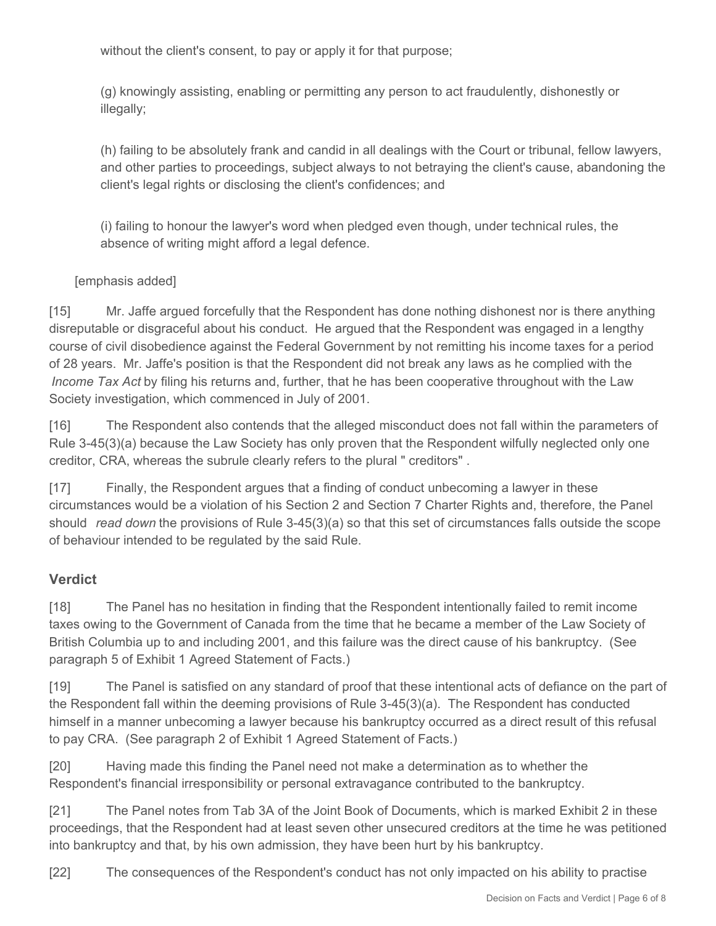without the client's consent, to pay or apply it for that purpose;

(g) knowingly assisting, enabling or permitting any person to act fraudulently, dishonestly or illegally;

(h) failing to be absolutely frank and candid in all dealings with the Court or tribunal, fellow lawyers, and other parties to proceedings, subject always to not betraying the client's cause, abandoning the client's legal rights or disclosing the client's confidences; and

(i) failing to honour the lawyer's word when pledged even though, under technical rules, the absence of writing might afford a legal defence.

### [emphasis added]

[15] Mr. Jaffe argued forcefully that the Respondent has done nothing dishonest nor is there anything disreputable or disgraceful about his conduct. He argued that the Respondent was engaged in a lengthy course of civil disobedience against the Federal Government by not remitting his income taxes for a period of 28 years. Mr. Jaffe's position is that the Respondent did not break any laws as he complied with the *Income Tax Act* by filing his returns and, further, that he has been cooperative throughout with the Law Society investigation, which commenced in July of 2001.

[16] The Respondent also contends that the alleged misconduct does not fall within the parameters of Rule 3-45(3)(a) because the Law Society has only proven that the Respondent wilfully neglected only one creditor, CRA, whereas the subrule clearly refers to the plural " creditors" .

[17] Finally, the Respondent argues that a finding of conduct unbecoming a lawyer in these circumstances would be a violation of his Section 2 and Section 7 Charter Rights and, therefore, the Panel should *read down* the provisions of Rule 3-45(3)(a) so that this set of circumstances falls outside the scope of behaviour intended to be regulated by the said Rule.

## **Verdict**

[18] The Panel has no hesitation in finding that the Respondent intentionally failed to remit income taxes owing to the Government of Canada from the time that he became a member of the Law Society of British Columbia up to and including 2001, and this failure was the direct cause of his bankruptcy. (See paragraph 5 of Exhibit 1 Agreed Statement of Facts.)

[19] The Panel is satisfied on any standard of proof that these intentional acts of defiance on the part of the Respondent fall within the deeming provisions of Rule 3-45(3)(a). The Respondent has conducted himself in a manner unbecoming a lawyer because his bankruptcy occurred as a direct result of this refusal to pay CRA. (See paragraph 2 of Exhibit 1 Agreed Statement of Facts.)

[20] Having made this finding the Panel need not make a determination as to whether the Respondent's financial irresponsibility or personal extravagance contributed to the bankruptcy.

[21] The Panel notes from Tab 3A of the Joint Book of Documents, which is marked Exhibit 2 in these proceedings, that the Respondent had at least seven other unsecured creditors at the time he was petitioned into bankruptcy and that, by his own admission, they have been hurt by his bankruptcy.

[22] The consequences of the Respondent's conduct has not only impacted on his ability to practise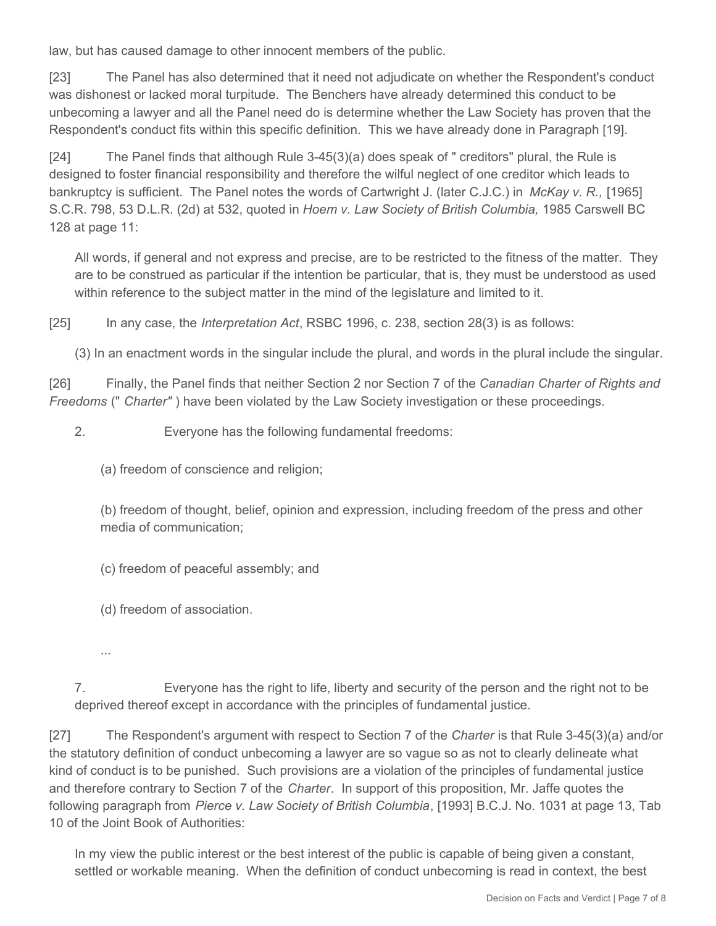law, but has caused damage to other innocent members of the public.

[23] The Panel has also determined that it need not adjudicate on whether the Respondent's conduct was dishonest or lacked moral turpitude. The Benchers have already determined this conduct to be unbecoming a lawyer and all the Panel need do is determine whether the Law Society has proven that the Respondent's conduct fits within this specific definition. This we have already done in Paragraph [19].

[24] The Panel finds that although Rule 3-45(3)(a) does speak of " creditors" plural, the Rule is designed to foster financial responsibility and therefore the wilful neglect of one creditor which leads to bankruptcy is sufficient. The Panel notes the words of Cartwright J. (later C.J.C.) in *McKay v. R.,* [1965] S.C.R. 798, 53 D.L.R. (2d) at 532, quoted in *Hoem v. Law Society of British Columbia,* 1985 Carswell BC 128 at page 11:

All words, if general and not express and precise, are to be restricted to the fitness of the matter. They are to be construed as particular if the intention be particular, that is, they must be understood as used within reference to the subject matter in the mind of the legislature and limited to it.

[25] In any case, the *Interpretation Act*, RSBC 1996, c. 238, section 28(3) is as follows:

(3) In an enactment words in the singular include the plural, and words in the plural include the singular.

[26] Finally, the Panel finds that neither Section 2 nor Section 7 of the *Canadian Charter of Rights and Freedoms* (" *Charter"* ) have been violated by the Law Society investigation or these proceedings.

2. Everyone has the following fundamental freedoms:

(a) freedom of conscience and religion;

(b) freedom of thought, belief, opinion and expression, including freedom of the press and other media of communication;

(c) freedom of peaceful assembly; and

(d) freedom of association.

...

7. Everyone has the right to life, liberty and security of the person and the right not to be deprived thereof except in accordance with the principles of fundamental justice.

[27] The Respondent's argument with respect to Section 7 of the *Charter* is that Rule 3-45(3)(a) and/or the statutory definition of conduct unbecoming a lawyer are so vague so as not to clearly delineate what kind of conduct is to be punished. Such provisions are a violation of the principles of fundamental justice and therefore contrary to Section 7 of the *Charter*. In support of this proposition, Mr. Jaffe quotes the following paragraph from *Pierce v. Law Society of British Columbia*, [1993] B.C.J. No. 1031 at page 13, Tab 10 of the Joint Book of Authorities:

In my view the public interest or the best interest of the public is capable of being given a constant, settled or workable meaning. When the definition of conduct unbecoming is read in context, the best